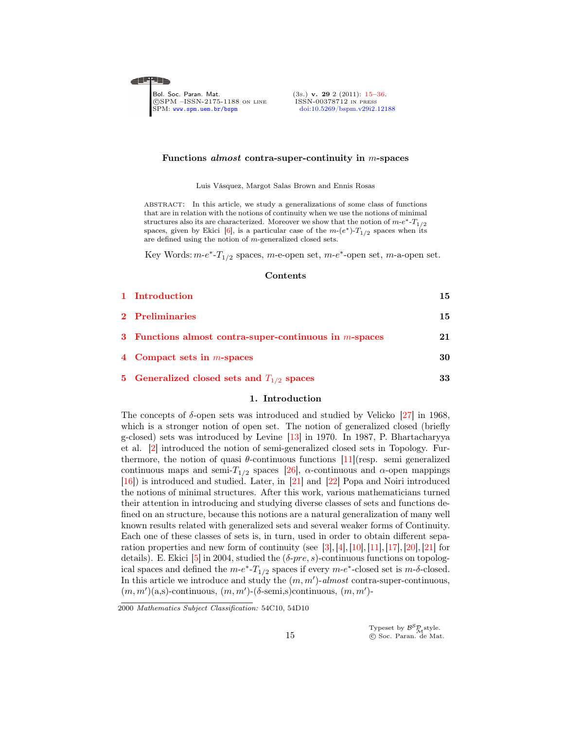<span id="page-0-0"></span>◢▆▛▛▆▖

Bol. Soc. Paran. Mat. (3s.) **v. 29** 2 (2011): [15–](#page-0-0)[36](#page-20-0).<br>©SPM –ISSN-2175-1188 on LINE ISSN-00378712 IN PRESS CSPM –ISSN-2175-1188 ON LINE<br>SPM: www.spm.uem.br/bspm

[doi:10.5269/bspm.v29i2.12188](http://dx.doi.org/10.5269/bspm.v29i2.12188)

#### Functions almost contra-super-continuity in m-spaces

Luis Vásquez, Margot Salas Brown and Ennis Rosas

abstract: In this article, we study a generalizations of some class of functions that are in relation with the notions of continuity when we use the notions of minimal structures also its are characterized. Moreover we show that the notion of  $m-e^*$ - $T_{1/2}$ spaces, given by Ekici [\[6\]](#page-20-1), is a particular case of the  $m-(e^*)-T_{1/2}$  spaces when its are defined using the notion of m-generalized closed sets.

Key Words:  $m-e^*$ - $T_{1/2}$  spaces,  $m$ -e-open set,  $m-e^*$ -open set,  $m$ -a-open set.

#### Contents

| 1 Introduction                                            | 15 |
|-----------------------------------------------------------|----|
| 2 Preliminaries                                           | 15 |
| 3 Functions almost contra-super-continuous in $m$ -spaces | 21 |
| 4 Compact sets in $m$ -spaces                             | 30 |
| 5 Generalized closed sets and $T_{1/2}$ spaces            | 33 |

## 1. Introduction

<span id="page-0-1"></span>The concepts of  $\delta$ -open sets was introduced and studied by Velicko [\[27\]](#page-21-0) in 1968, which is a stronger notion of open set. The notion of generalized closed (briefly g-closed) sets was introduced by Levine [\[13\]](#page-20-2) in 1970. In 1987, P. Bhartacharyya et al. [\[2\]](#page-20-3) introduced the notion of semi-generalized closed sets in Topology. Furthermore, the notion of quasi  $\theta$ -continuous functions [\[11\]](#page-20-4)(resp. semi generalized continuous maps and semi- $T_{1/2}$  spaces [\[26\]](#page-21-1),  $\alpha$ -continuous and  $\alpha$ -open mappings [\[16\]](#page-21-2)) is introduced and studied. Later, in [\[21\]](#page-21-3) and [\[22\]](#page-21-4) Popa and Noiri introduced the notions of minimal structures. After this work, various mathematicians turned their attention in introducing and studying diverse classes of sets and functions defined on an structure, because this notions are a natural generalization of many well known results related with generalized sets and several weaker forms of Continuity. Each one of these classes of sets is, in turn, used in order to obtain different sepa-ration properties and new form of continuity (see [\[3\]](#page-20-5), [\[4\]](#page-20-6), [\[10\]](#page-20-7), [\[11\]](#page-20-4), [\[17\]](#page-21-5), [\[20\]](#page-21-6), [\[21\]](#page-21-3) for details). E. Ekici [\[5\]](#page-20-8) in 2004, studied the  $(\delta$ -pre, s)-continuous functions on topological spaces and defined the  $m-e^*$ - $T_{1/2}$  spaces if every  $m-e^*$ -closed set is  $m-\delta$ -closed. In this article we introduce and study the  $(m, m')$ -almost contra-super-continuous,  $(m, m')$ (a,s)-continuous,  $(m, m')$ -( $\delta$ -semi,s)continuous,  $(m, m')$ -

<sup>2000</sup> Mathematics Subject Classification: 54C10, 54D10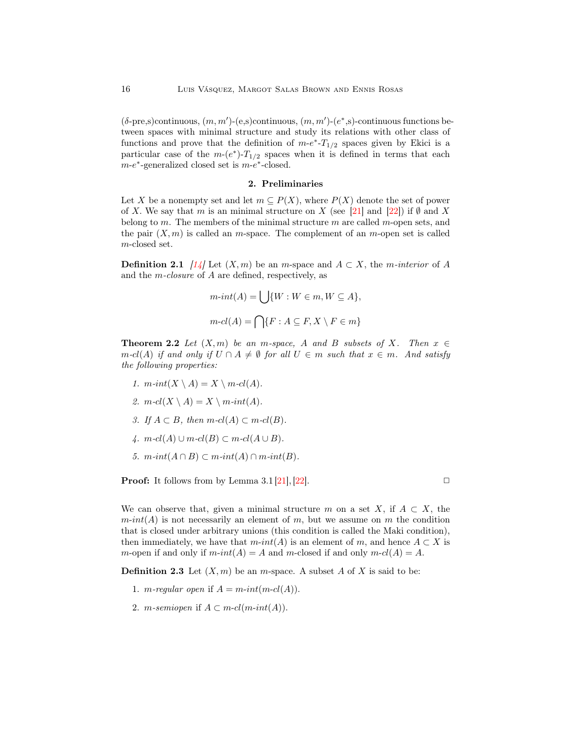$(δ$ -pre,s)continuous,  $(m, m')$ - $(e, s)$ continuous,  $(m, m')$ - $(e^*, s)$ -continuous functions between spaces with minimal structure and study its relations with other class of functions and prove that the definition of  $m-e^*$ - $T_{1/2}$  spaces given by Ekici is a particular case of the  $m-(e^*)-T_{1/2}$  spaces when it is defined in terms that each  $m-e^*$ -generalized closed set is  $m-e^*$ -closed.

## 2. Preliminaries

<span id="page-1-0"></span>Let X be a nonempty set and let  $m \subseteq P(X)$ , where  $P(X)$  denote the set of power of X. We say that m is an minimal structure on X (see [\[21\]](#page-21-3) and [\[22\]](#page-21-4)) if  $\emptyset$  and X belong to  $m$ . The members of the minimal structure  $m$  are called  $m$ -open sets, and the pair  $(X, m)$  is called an m-space. The complement of an m-open set is called m-closed set.

**Definition 2.1** [\[14\]](#page-20-9) Let  $(X, m)$  be an m-space and  $A \subset X$ , the m-interior of A and the m-closure of A are defined, respectively, as

$$
m\text{-}int(A) = \bigcup \{W : W \in m, W \subseteq A\},\
$$

$$
m\text{-}cl(A) = \bigcap \{F : A \subseteq F, X \setminus F \in m\}
$$

**Theorem 2.2** Let  $(X, m)$  be an m-space, A and B subsets of X. Then  $x \in$ m-cl(A) if and only if  $U \cap A \neq \emptyset$  for all  $U \in m$  such that  $x \in m$ . And satisfy the following properties:

- 1.  $m\text{-}int(X \setminus A) = X \setminus m\text{-}cl(A)$ .
- 2.  $m \text{-} cl(X \setminus A) = X \setminus m \text{-} int(A)$ .
- 3. If  $A \subset B$ , then  $m-cl(A) \subset m-cl(B)$ .
- $\mu$ .  $m-cl(A) \cup m-cl(B) \subset m-cl(A \cup B)$ .
- 5.  $m\text{-}int(A \cap B) \subset m\text{-}int(A) \cap m\text{-}int(B)$ .

**Proof:** It follows from by Lemma 3.1 [\[21\]](#page-21-3), [\[22\]](#page-21-4).

We can observe that, given a minimal structure m on a set X, if  $A \subset X$ , the  $m\text{-}int(A)$  is not necessarily an element of m, but we assume on m the condition that is closed under arbitrary unions (this condition is called the Maki condition), then immediately, we have that  $m\text{-}int(A)$  is an element of m, and hence  $A \subset X$  is m-open if and only if  $m\text{-}int(A) = A$  and m-closed if and only  $m\text{-}cl(A) = A$ .

**Definition 2.3** Let  $(X, m)$  be an *m*-space. A subset A of X is said to be:

- 1. *m*-regular open if  $A = m\text{-}int(m\text{-}cl(A)).$
- 2. *m*-semiopen if  $A \subset m-cl(m-int(A)).$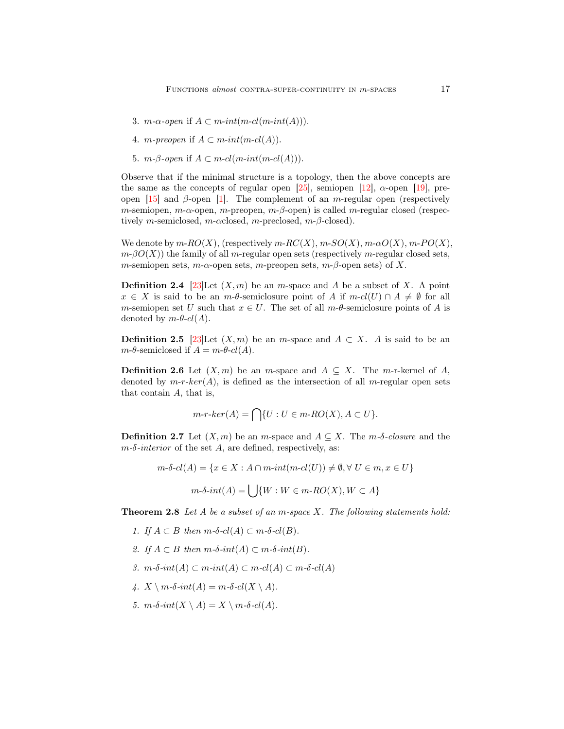- 3. *m*- $\alpha$ -open if  $A \subset m\text{-}int(m\text{-}cl(m\text{-}int(A))).$
- 4. *m*-preopen if  $A \subset m\text{-}int(m\text{-}cl(A)).$
- 5. *m*-β-open if  $A \subset m$ -cl(*m*-int(*m*-cl(*A*))).

Observe that if the minimal structure is a topology, then the above concepts are the same as the concepts of regular open [\[25\]](#page-21-7), semiopen [\[12\]](#page-20-10),  $\alpha$ -open [\[19\]](#page-21-8), preopen  $[15]$  and  $\beta$ -open  $[1]$ . The complement of an *m*-regular open (respectively m-semiopen,  $m$ - $\alpha$ -open,  $m$ -preopen,  $m$ - $\beta$ -open) is called m-regular closed (respectively m-semiclosed, m- $\alpha$ closed, m-preclosed, m- $\beta$ -closed).

We denote by  $m\text{-}RO(X)$ , (respectively  $m\text{-}RC(X)$ ,  $m\text{-}SO(X)$ ,  $m\text{-}aO(X)$ ,  $m\text{-}PO(X)$ ,  $m\n-βO(X)$ ) the family of all m-regular open sets (respectively m-regular closed sets, m-semiopen sets, m- $\alpha$ -open sets, m-preopen sets, m- $\beta$ -open sets) of X.

**Definition 2.4** [\[23\]](#page-21-9) Let  $(X, m)$  be an m-space and A be a subset of X. A point  $x \in X$  is said to be an m- $\theta$ -semiclosure point of A if  $m-cl(U) \cap A \neq \emptyset$  for all m-semiopen set U such that  $x \in U$ . The set of all  $m-\theta$ -semiclosure points of A is denoted by  $m\n-*\theta*-*cl*(A)$ .

**Definition 2.5** [\[23\]](#page-21-9)Let  $(X, m)$  be an m-space and  $A \subset X$ . A is said to be an  $m-\theta$ -semiclosed if  $A = m-\theta$ -cl(A).

**Definition 2.6** Let  $(X, m)$  be an m-space and  $A \subseteq X$ . The m-r-kernel of A, denoted by  $m-r-ker(A)$ , is defined as the intersection of all m-regular open sets that contain A, that is,

$$
m\text{-}r\text{-}ker(A) = \bigcap \{U : U \in m\text{-}RO(X), A \subset U\}.
$$

**Definition 2.7** Let  $(X, m)$  be an m-space and  $A \subseteq X$ . The m- $\delta$ -closure and the  $m-\delta-interior$  of the set A, are defined, respectively, as:

$$
m\text{-}\delta\text{-}cl(A) = \{x \in X : A \cap m\text{-}int(m\text{-}cl(U)) \neq \emptyset, \forall U \in m, x \in U\}
$$

$$
m\text{-}\delta\text{-}int(A) = \bigcup \{W : W \in m\text{-}RO(X), W \subset A\}
$$

**Theorem 2.8** Let A be a subset of an m-space X. The following statements hold:

- 1. If  $A \subset B$  then  $m \text{-} \delta \text{-} cl(A) \subset m \text{-} \delta \text{-} cl(B)$ .
- 2. If  $A \subset B$  then  $m \cdot \delta \cdot int(A) \subset m \cdot \delta \cdot int(B)$ .
- 3. m-δ-int(A) ⊂ m-int(A) ⊂ m-cl(A) ⊂ m-δ-cl(A)
- $\mathcal{A}$ .  $X \setminus m$ -δ-int $(A) = m$ -δ-cl $(X \setminus A)$ .
- 5.  $m\n-δ-int(X \setminus A) = X \setminus m\n-δ-cl(A)$ .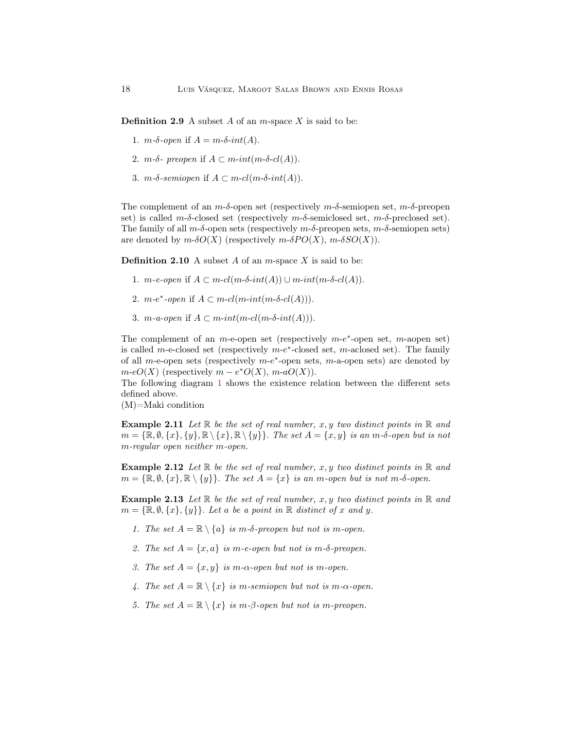**Definition 2.9** A subset A of an  $m$ -space X is said to be:

- 1.  $m\n-δ\n-open$  if  $A = m\n-δ\n-int(A)$ .
- 2.  $m-\delta$  preopen if  $A \subset m\text{-}int(m-\delta\text{-}cl(A)).$
- 3.  $m$ -δ-semiopen if  $A \subset m$ -cl(m-δ-int(A)).

The complement of an  $m-\delta$ -open set (respectively  $m-\delta$ -semiopen set,  $m-\delta$ -preopen set) is called  $m-\delta$ -closed set (respectively  $m-\delta$ -semiclosed set,  $m-\delta$ -preclosed set). The family of all  $m-\delta$ -open sets (respectively  $m-\delta$ -preopen sets,  $m-\delta$ -semiopen sets) are denoted by  $m\text{-}\delta O(X)$  (respectively  $m\text{-}\delta PO(X)$ ,  $m\text{-}\delta SO(X)$ ).

**Definition 2.10** A subset A of an  $m$ -space X is said to be:

- 1. m-e-open if  $A \subset m-cl(m-\delta-int(A)) \cup m-int(m-\delta-cl(A)).$
- 2.  $m-e^*$ -open if  $A \subset m-cl(m-int(m-\delta-cl(A))).$
- 3. *m*-a-open if  $A \subset m\text{-}int(m\text{-}c(l(m\text{-}\delta\text{-}int(A))).$

The complement of an  $m$ -e-open set (respectively  $m-e^*$ -open set,  $m$ -aopen set) is called m-e-closed set (respectively  $m-e^*$ -closed set, m-aclosed set). The family of all m-e-open sets (respectively  $m-e^*$ -open sets, m-a-open sets) are denoted by  $m\text{-}eO(X)$  (respectively  $m - e^*O(X)$ ,  $m\text{-}aO(X)$ ).

The following diagram [1](#page-4-0) shows the existence relation between the different sets defined above.

(M)=Maki condition

**Example 2.11** Let  $\mathbb R$  be the set of real number, x, y two distinct points in  $\mathbb R$  and  $m = {\mathbb{R}, \emptyset, \{x\}, \{y\}, \mathbb{R} \setminus \{x\}, \mathbb{R} \setminus \{y\}}$ . The set  $A = \{x, y\}$  is an m-δ-open but is not m-regular open neither m-open.

**Example 2.12** Let  $\mathbb R$  be the set of real number, x, y two distinct points in  $\mathbb R$  and  $m = {\mathbb{R}, \emptyset, \{x\}, \mathbb{R} \setminus \{y\}}.$  The set  $A = \{x\}$  is an m-open but is not m-δ-open.

**Example 2.13** Let  $\mathbb R$  be the set of real number, x, y two distinct points in  $\mathbb R$  and  $m = {\mathbb{R}, \emptyset, \{x\}, \{y\}}$ . Let a be a point in  $\mathbb R$  distinct of x and y.

- 1. The set  $A = \mathbb{R} \setminus \{a\}$  is m- $\delta$ -preopen but not is m-open.
- 2. The set  $A = \{x, a\}$  is m-e-open but not is m- $\delta$ -preopen.
- 3. The set  $A = \{x, y\}$  is m- $\alpha$ -open but not is m-open.
- 4. The set  $A = \mathbb{R} \setminus \{x\}$  is m-semiopen but not is m- $\alpha$ -open.
- 5. The set  $A = \mathbb{R} \setminus \{x\}$  is m- $\beta$ -open but not is m-preopen.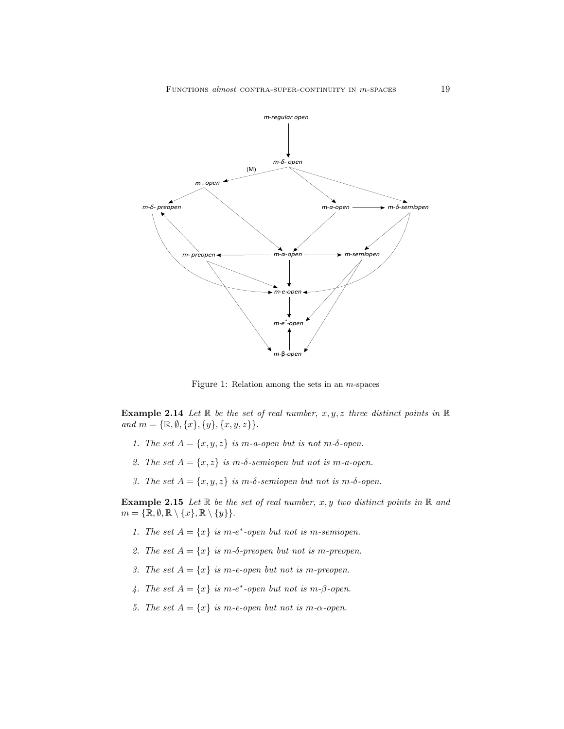

<span id="page-4-0"></span>Figure 1: Relation among the sets in an  $m$ -spaces

**Example 2.14** Let  $\mathbb R$  be the set of real number,  $x, y, z$  three distinct points in  $\mathbb R$ and  $m = {\mathbb{R}, \emptyset, \{x\}, \{y\}, \{x, y, z\}}$ .

- 1. The set  $A = \{x, y, z\}$  is m-a-open but is not m- $\delta$ -open.
- 2. The set  $A = \{x, z\}$  is m- $\delta$ -semiopen but not is m-a-open.
- 3. The set  $A = \{x, y, z\}$  is m- $\delta$ -semiopen but not is m- $\delta$ -open.

**Example 2.15** Let  $\mathbb R$  be the set of real number, x, y two distinct points in  $\mathbb R$  and  $m = {\mathbb{R}, \emptyset, \mathbb{R} \setminus \{x\}, \mathbb{R} \setminus \{y\}}.$ 

- 1. The set  $A = \{x\}$  is m-e<sup>\*</sup>-open but not is m-semiopen.
- 2. The set  $A = \{x\}$  is m- $\delta$ -preopen but not is m-preopen.
- 3. The set  $A = \{x\}$  is m-e-open but not is m-preopen.
- 4. The set  $A = \{x\}$  is m-e<sup>\*</sup>-open but not is m- $\beta$ -open.
- 5. The set  $A = \{x\}$  is m-e-open but not is m- $\alpha$ -open.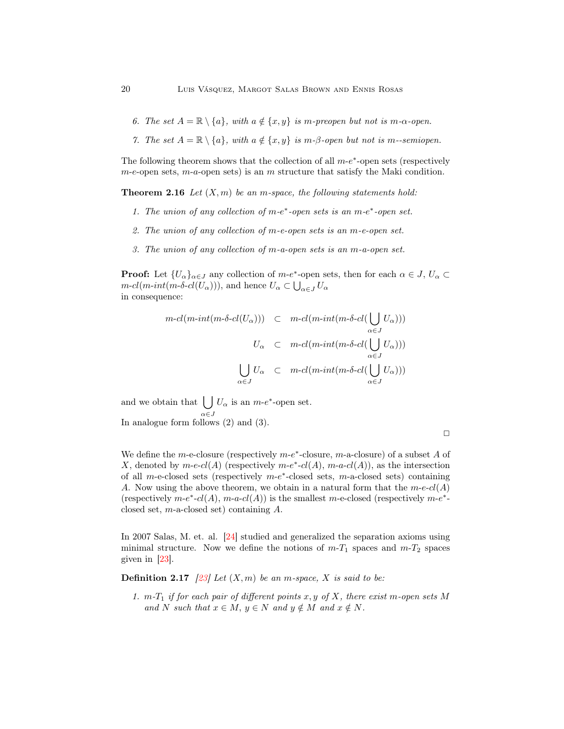- 6. The set  $A = \mathbb{R} \setminus \{a\}$ , with  $a \notin \{x, y\}$  is m-preopen but not is m- $\alpha$ -open.
- 7. The set  $A = \mathbb{R} \setminus \{a\}$ , with  $a \notin \{x, y\}$  is m- $\beta$ -open but not is m--semiopen.

The following theorem shows that the collection of all  $m-e^*$ -open sets (respectively  $m$ -e-open sets,  $m$ -a-open sets) is an  $m$  structure that satisfy the Maki condition.

**Theorem 2.16** Let  $(X, m)$  be an m-space, the following statements hold:

- 1. The union of any collection of  $m-e^*$ -open sets is an  $m-e^*$ -open set.
- 2. The union of any collection of m-e-open sets is an m-e-open set.
- 3. The union of any collection of m-a-open sets is an m-a-open set.

**Proof:** Let  $\{U_{\alpha}\}_{{\alpha \in J}}$  any collection of m-e<sup>\*</sup>-open sets, then for each  $\alpha \in J$ ,  $U_{\alpha} \subset$  $m\text{-}cl(m\text{-}int(m\text{-}\delta\text{-}cl(U_\alpha))),$  and hence  $U_\alpha\subset\bigcup_{\alpha\in J}U_\alpha$ in consequence:

 $\mathbf{r}$ 

$$
m-cl(m-int(m-\delta-cl(U_{\alpha}))) \quad \subset \quad m-cl(m-int(m-\delta-cl(\bigcup_{\alpha \in J} U_{\alpha})))
$$
\n
$$
U_{\alpha} \quad \subset \quad m-cl(m-int(m-\delta-cl(\bigcup_{\alpha \in J} U_{\alpha})))
$$
\n
$$
\bigcup_{\alpha \in J} U_{\alpha} \quad \subset \quad m-cl(m-int(m-\delta-cl(\bigcup_{\alpha \in J} U_{\alpha})))
$$

and we obtain that  $\bigcup U_{\alpha}$  is an  $m-e^*$ -open set. In analogue form follows (2) and (3).

We define the m-e-closure (respectively  $m-e^*$ -closure, m-a-closure) of a subset A of X, denoted by m-e- $cl(A)$  (respectively m-e<sup>\*</sup>- $cl(A)$ , m-a- $cl(A)$ ), as the intersection of all m-e-closed sets (respectively  $m-e^*$ -closed sets, m-a-closed sets) containing A. Now using the above theorem, we obtain in a natural form that the  $m-ecl(A)$ (respectively  $m-e^*$ - $cl(A)$ ,  $m-a$ - $cl(A)$ ) is the smallest  $m$ -e-closed (respectively  $m-e^*$ closed set, m-a-closed set) containing A.

In 2007 Salas, M. et. al. [\[24\]](#page-21-10) studied and generalized the separation axioms using minimal structure. Now we define the notions of  $m-T_1$  spaces and  $m-T_2$  spaces given in [\[23\]](#page-21-9).

**Definition 2.17** [\[23\]](#page-21-9) Let  $(X, m)$  be an m-space, X is said to be:

1.  $m-T_1$  if for each pair of different points x, y of X, there exist m-open sets M and N such that  $x \in M$ ,  $y \in N$  and  $y \notin M$  and  $x \notin N$ .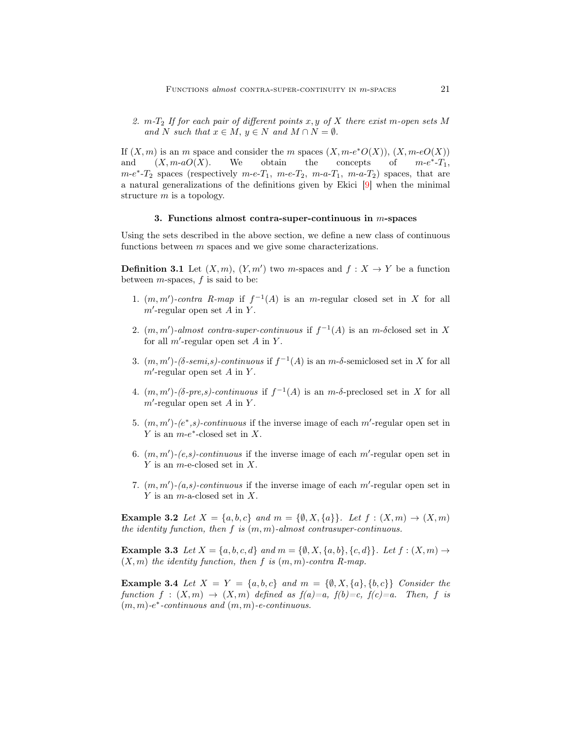2.  $m-T_2$  If for each pair of different points x, y of X there exist m-open sets M and N such that  $x \in M$ ,  $y \in N$  and  $M \cap N = \emptyset$ .

If  $(X, m)$  is an m space and consider the m spaces  $(X, m-e^*O(X)), (X, m-eO(X))$ and  $(X, m-aO(X))$ . We obtain the concepts of  $^*$ - $T_1$ ,  $m-e^*$ - $T_2$  spaces (respectively  $m-e-T_1$ ,  $m-e-T_2$ ,  $m-a-T_1$ ,  $m-a-T_2$ ) spaces, that are a natural generalizations of the definitions given by Ekici [\[9\]](#page-20-13) when the minimal structure m is a topology.

## 3. Functions almost contra-super-continuous in m-spaces

<span id="page-6-0"></span>Using the sets described in the above section, we define a new class of continuous functions between m spaces and we give some characterizations.

**Definition 3.1** Let  $(X, m)$ ,  $(Y, m')$  two m-spaces and  $f : X \to Y$  be a function between  $m$ -spaces,  $f$  is said to be:

- 1.  $(m, m')$ -contra R-map if  $f^{-1}(A)$  is an m-regular closed set in X for all  $m'$ -regular open set A in Y.
- 2.  $(m, m')$ -almost contra-super-continuous if  $f^{-1}(A)$  is an m- $\delta$ closed set in X for all  $m'$ -regular open set  $A$  in  $Y$ .
- 3.  $(m, m')$ - $(\delta$ -semi,s)-continuous if  $f^{-1}(A)$  is an  $m$ - $\delta$ -semiclosed set in X for all  $m'$ -regular open set A in Y.
- 4.  $(m, m')$ - $(\delta$ -pre,s)-continuous if  $f^{-1}(A)$  is an m- $\delta$ -preclosed set in X for all  $m'$ -regular open set A in Y.
- 5.  $(m, m')$ - $(e^*, s)$ -continuous if the inverse image of each m'-regular open set in Y is an  $m-e^*$ -closed set in X.
- 6.  $(m, m')$ - $(e, s)$ -continuous if the inverse image of each m'-regular open set in  $Y$  is an *m*-e-closed set in  $X$ .
- 7.  $(m, m')$ - $(a, s)$ -continuous if the inverse image of each m'-regular open set in  $Y$  is an *m*-a-closed set in  $X$ .

**Example 3.2** Let  $X = \{a, b, c\}$  and  $m = \{\emptyset, X, \{a\}\}\$ . Let  $f : (X, m) \rightarrow (X, m)$ the identity function, then f is  $(m, m)$ -almost contrasuper-continuous.

**Example 3.3** Let  $X = \{a, b, c, d\}$  and  $m = \{\emptyset, X, \{a, b\}, \{c, d\}\}\$ . Let  $f : (X, m) \to$  $(X, m)$  the identity function, then f is  $(m, m)$ -contra R-map.

**Example 3.4** Let  $X = Y = \{a, b, c\}$  and  $m = \{\emptyset, X, \{a\}, \{b, c\}\}$  Consider the function  $f : (X,m) \to (X,m)$  defined as  $f(a)=a$ ,  $f(b)=c$ ,  $f(c)=a$ . Then, f is  $(m, m)$ - $e^*$ -continuous and  $(m, m)$ -e-continuous.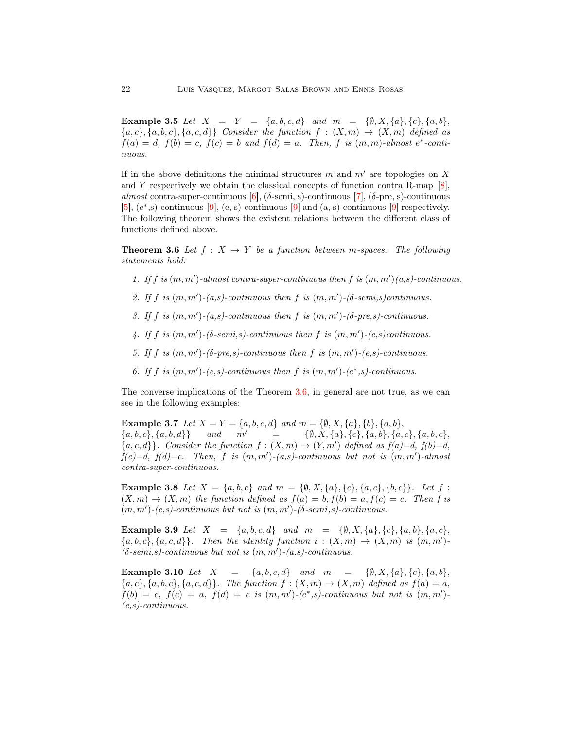Example 3.5 Let  $X = Y = \{a, b, c, d\}$  and  $m = \{\emptyset, X, \{a\}, \{c\}, \{a, b\},\$  ${a, c}, {a, b, c}, {a, c, d}$  Consider the function  $f : (X, m) \rightarrow (X, m)$  defined as  $f(a) = d$ ,  $f(b) = c$ ,  $f(c) = b$  and  $f(d) = a$ . Then, f is  $(m, m)$ -almost  $e^*$ -continuous.

If in the above definitions the minimal structures m and  $m'$  are topologies on X and Y respectively we obtain the classical concepts of function contra R-map  $[8]$ , almost contra-super-continuous [\[6\]](#page-20-1),  $(\delta$ -semi, s)-continuous [\[7\]](#page-20-15),  $(\delta$ -pre, s)-continuous  $[5]$ ,  $(e^*, s)$ -continuous  $[9]$ ,  $(e, s)$ -continuous  $[9]$  and  $(a, s)$ -continuous  $[9]$  respectively. The following theorem shows the existent relations between the different class of functions defined above.

<span id="page-7-0"></span>**Theorem 3.6** Let  $f: X \rightarrow Y$  be a function between m-spaces. The following statements hold:

- 1. If f is  $(m, m')$ -almost contra-super-continuous then f is  $(m, m')(a,s)$ -continuous.
- 2. If f is  $(m, m')$ - $(a, s)$ -continuous then f is  $(m, m')$ - $(\delta$ -semi,s)continuous.
- 3. If f is  $(m, m')$ - $(a, s)$ -continuous then f is  $(m, m')$ - $(\delta$ -pre,s)-continuous.
- 4. If f is  $(m, m')$ - $(\delta$ -semi,s)-continuous then f is  $(m, m')$ - $(e, s)$ continuous.
- 5. If f is  $(m, m')$ - $(\delta$ -pre,s)-continuous then f is  $(m, m')$ - $(e, s)$ -continuous.
- 6. If f is  $(m, m')$ - $(e, s)$ -continuous then f is  $(m, m')$ - $(e^*, s)$ -continuous.

The converse implications of the Theorem [3.6,](#page-7-0) in general are not true, as we can see in the following examples:

**Example 3.7** Let  $X = Y = \{a, b, c, d\}$  and  $m = \{\emptyset, X, \{a\}, \{b\}, \{a, b\},\$  ${a, b, c}, {a, b, d}$  and m' = { $\emptyset, X, {a}, {c}, {a, b}, {a, c}, {a, b, c}$ }  ${a, c, d}$ . Consider the function  $f : (X, m) \to (Y, m')$  defined as  $f(a)=d, f(b)=d$ ,  $f(c)=d, f(d)=c.$  Then, f is  $(m, m')-(a, s)$ -continuous but not is  $(m, m')$ -almost contra-super-continuous.

**Example 3.8** Let  $X = \{a, b, c\}$  and  $m = \{\emptyset, X, \{a\}, \{c\}, \{a, c\}, \{b, c\}\}\$ . Let  $f$ :  $(X, m) \to (X, m)$  the function defined as  $f(a) = b, f(b) = a, f(c) = c$ . Then f is  $(m, m')$ - $(e, s)$ -continuous but not is  $(m, m')$ - $(\delta$ -semi,s)-continuous.

Example 3.9 Let  $X = \{a, b, c, d\}$  and  $m = \{\emptyset, X, \{a\}, \{c\}, \{a, b\}, \{a, c\},\$  ${a, b, c}, {a, c, d}.$  Then the identity function  $i : (X, m) \rightarrow (X, m)$  is  $(m, m')$ - $(\delta$ -semi,s)-continuous but not is  $(m, m')$ - $(a, s)$ -continuous.

Example 3.10 Let  $X = \{a, b, c, d\}$  and  $m = \{\emptyset, X, \{a\}, \{c\}, \{a, b\},\}$  ${a, c}, \{a, b, c\}, \{a, c, d\}$ . The function  $f : (X, m) \rightarrow (X, m)$  defined as  $f(a) = a$ ,  $f(b) = c, f(c) = a, f(d) = c$  is  $(m, m')-(e^*, s)$ -continuous but not is  $(m, m')$ - $(e,s)$ -continuous.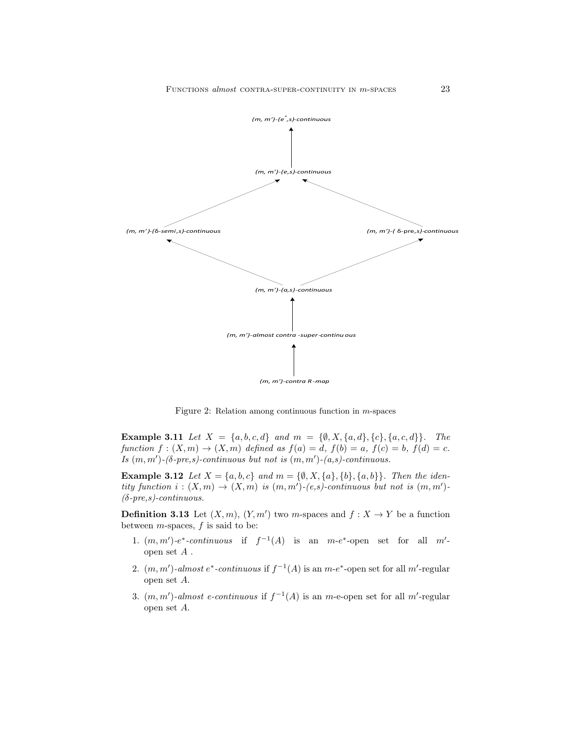

Figure 2: Relation among continuous function in m-spaces

**Example 3.11** Let  $X = \{a, b, c, d\}$  and  $m = \{\emptyset, X, \{a, d\}, \{c\}, \{a, c, d\}\}.$  The function  $f:(X,m)\to (X,m)$  defined as  $f(a)=d$ ,  $f(b)=a$ ,  $f(c)=b$ ,  $f(d)=c$ . Is  $(m, m')$ - $(\delta$ -pre,s)-continuous but not is  $(m, m')$ - $(a, s)$ -continuous.

**Example 3.12** Let  $X = \{a, b, c\}$  and  $m = \{\emptyset, X, \{a\}, \{b\}, \{a, b\}\}\$ . Then the identity function  $i:(X,m)\to (X,m)$  is  $(m,m')-(e,s)$ -continuous but not is  $(m,m')$ - $(\delta$ -pre,s)-continuous.

**Definition 3.13** Let  $(X, m)$ ,  $(Y, m')$  two m-spaces and  $f : X \to Y$  be a function between  $m$ -spaces,  $f$  is said to be:

- 1.  $(m, m')$ -e<sup>\*</sup>-continuous if  $f^{-1}(A)$  is an  $m-e^*$ -open set for all  $m'$ open set A .
- 2.  $(m, m')$ -almost  $e^*$ -continuous if  $f^{-1}(A)$  is an  $m-e^*$ -open set for all m'-regular open set A.
- 3.  $(m, m')$ -almost e-continuous if  $f^{-1}(A)$  is an m-e-open set for all m'-regular open set A.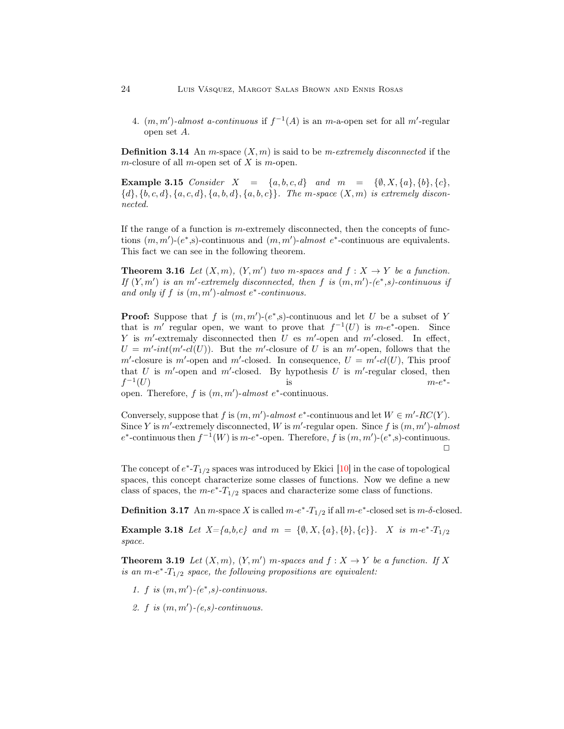4.  $(m, m')$ -almost a-continuous if  $f^{-1}(A)$  is an m-a-open set for all m'-regular open set A.

**Definition 3.14** An m-space  $(X, m)$  is said to be m-extremely disconnected if the m-closure of all m-open set of X is m-open.

Example 3.15 Consider  $X = \{a, b, c, d\}$  and  $m = \{\emptyset, X, \{a\}, \{b\}, \{c\},\}$  ${d}, {b, c, d}, {a, c, d}, {a, b, d}, {a, b, c}.$  The m-space  $(X, m)$  is extremely disconnected.

If the range of a function is  $m$ -extremely disconnected, then the concepts of functions  $(m, m')$ - $(e^*, s)$ -continuous and  $(m, m')$ -almost  $e^*$ -continuous are equivalents. This fact we can see in the following theorem.

**Theorem 3.16** Let  $(X, m)$ ,  $(Y, m')$  two m-spaces and  $f : X \to Y$  be a function. If  $(Y, m')$  is an m'-extremely disconnected, then f is  $(m, m')$ - $(e^*, s)$ -continuous if and only if  $f$  is  $(m, m')$ -almost  $e^*$ -continuous.

**Proof:** Suppose that f is  $(m, m')$ - $(e^*, s)$ -continuous and let U be a subset of Y that is m' regular open, we want to prove that  $f^{-1}(U)$  is m-e<sup>\*</sup>-open. Since Y is  $m'$ -extremaly disconnected then U es  $m'$ -open and  $m'$ -closed. In effect,  $U = m'-int(m'-cl(U))$ . But the m'-closure of U is an m'-open, follows that the m'-closure is m'-open and m'-closed. In consequence,  $U = m'$ -cl(U), This proof that U is  $m'$ -open and  $m'$ -closed. By hypothesis U is  $m'$ -regular closed, then  $f^{-1}$  $(U)$  is  $m-e$ ∗ -

open. Therefore,  $f$  is  $(m, m')$ -almost  $e^*$ -continuous.

Conversely, suppose that f is  $(m, m')$ -almost  $e^*$ -continuous and let  $W \in m'$ -RC(Y). Since Y is m'-extremely disconnected, W is m'-regular open. Since f is  $(m, m')$ -almost  $e^*$ -continuous then  $f^{-1}(W)$  is  $m-e^*$ -open. Therefore, f is  $(m, m')$ - $(e^*, s)$ -continuous.  $\Box$ 

The concept of  $e^*$ - $T_{1/2}$  spaces was introduced by Ekici [\[10\]](#page-20-7) in the case of topological spaces, this concept characterize some classes of functions. Now we define a new class of spaces, the  $m-e^*$ - $T_{1/2}$  spaces and characterize some class of functions.

<span id="page-9-0"></span>**Definition 3.17** An m-space X is called  $m-e^*$ - $T_{1/2}$  if all  $m-e^*$ -closed set is  $m-\delta$ -closed.

**Example 3.18** Let  $X = \{a, b, c\}$  and  $m = \{\emptyset, X, \{a\}, \{b\}, \{c\}\}\$ . X is  $m \cdot e^* \cdot T_{1/2}$ space.

**Theorem 3.19** Let  $(X, m)$ ,  $(Y, m')$  m-spaces and  $f : X \to Y$  be a function. If X is an  $m-e^*$ - $T_{1/2}$  space, the following propositions are equivalent:

- 1. f is  $(m, m')$ - $(e^*, s)$ -continuous.
- 2.  $f$  is  $(m, m')$ - $(e, s)$ -continuous.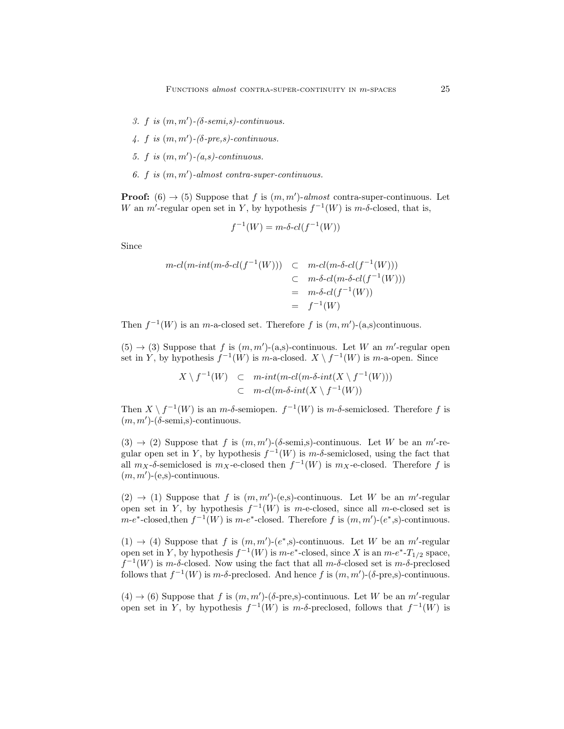- 3. f is  $(m, m')$ - $(\delta$ -semi,s)-continuous.
- 4. f is  $(m, m')$ - $(\delta$ -pre,s)-continuous.
- 5.  $f$  is  $(m, m')$ - $(a, s)$ -continuous.
- 6. f is (m, m′ )-almost contra-super-continuous.

**Proof:** (6)  $\rightarrow$  (5) Suppose that f is  $(m, m')$ -almost contra-super-continuous. Let W an m'-regular open set in Y, by hypothesis  $f^{-1}(W)$  is m- $\delta$ -closed, that is,

$$
f^{-1}(W) = m \delta \text{-} cl(f^{-1}(W))
$$

Since

$$
m\text{-}cl(m\text{-}int(m\text{-}\delta\text{-}cl(f^{-1}(W))) \quad \subset \quad m\text{-}cl(m\text{-}\delta\text{-}cl(f^{-1}(W))) \\ \quad \subset \quad m\text{-}\delta\text{-}cl(m\text{-}\delta\text{-}cl(f^{-1}(W))) \\ \quad \subset \quad m\text{-}\delta\text{-}cl(m\text{-}\delta\text{-}cl(f^{-1}(W))) \\ \quad \subset \quad m\text{-}\delta\text{-}cl(f^{-1}(W)) \\ \quad \subset \quad f^{-1}(W)
$$

Then  $f^{-1}(W)$  is an m-a-closed set. Therefore f is  $(m, m')$ -(a,s)continuous.

 $(5) \rightarrow (3)$  Suppose that f is  $(m, m')$ - $(a, s)$ -continuous. Let W an m'-regular open set in Y, by hypothesis  $f^{-1}(W)$  is m-a-closed.  $X \setminus f^{-1}(W)$  is m-a-open. Since

$$
X \setminus f^{-1}(W) \quad \subset \quad m\text{-}int(m\text{-}cl(m\text{-}\delta\text{-}int(X \setminus f^{-1}(W)))
$$

$$
\subset \quad m\text{-}cl(m\text{-}\delta\text{-}int(X \setminus f^{-1}(W))
$$

Then  $X \setminus f^{-1}(W)$  is an  $m$ -δ-semiopen.  $f^{-1}(W)$  is  $m$ -δ-semiclosed. Therefore f is  $(m, m')$ - $(\delta$ -semi,s)-continuous.

(3)  $\rightarrow$  (2) Suppose that f is  $(m, m')$ -( $\delta$ -semi,s)-continuous. Let W be an m'-regular open set in Y, by hypothesis  $f^{-1}(W)$  is m- $\delta$ -semiclosed, using the fact that all  $m_X$ -δ-semiclosed is  $m_X$ -e-closed then  $f^{-1}(W)$  is  $m_X$ -e-closed. Therefore f is  $(m, m')$ - $(e,s)$ -continuous.

 $(2) \rightarrow (1)$  Suppose that f is  $(m, m')$ -(e,s)-continuous. Let W be an m'-regular open set in Y, by hypothesis  $f^{-1}(W)$  is m-e-closed, since all m-e-closed set is  $m-e^*$ -closed,then  $f^{-1}(W)$  is  $m-e^*$ -closed. Therefore f is  $(m, m')$ - $(e^*, s)$ -continuous.

 $(1) \rightarrow (4)$  Suppose that f is  $(m, m')$ - $(e^*, s)$ -continuous. Let W be an m'-regular open set in Y, by hypothesis  $f^{-1}(W)$  is  $m-e^*$ -closed, since X is an  $m-e^*$ - $T_{1/2}$  space,  $f^{-1}(W)$  is m-δ-closed. Now using the fact that all m-δ-closed set is m-δ-preclosed follows that  $f^{-1}(W)$  is m- $\delta$ -preclosed. And hence f is  $(m, m')$ - $(\delta$ -pre,s)-continuous.

 $(4) \rightarrow (6)$  Suppose that f is  $(m, m')$ - $(\delta$ -pre,s)-continuous. Let W be an m'-regular open set in Y, by hypothesis  $f^{-1}(W)$  is m-δ-preclosed, follows that  $f^{-1}(W)$  is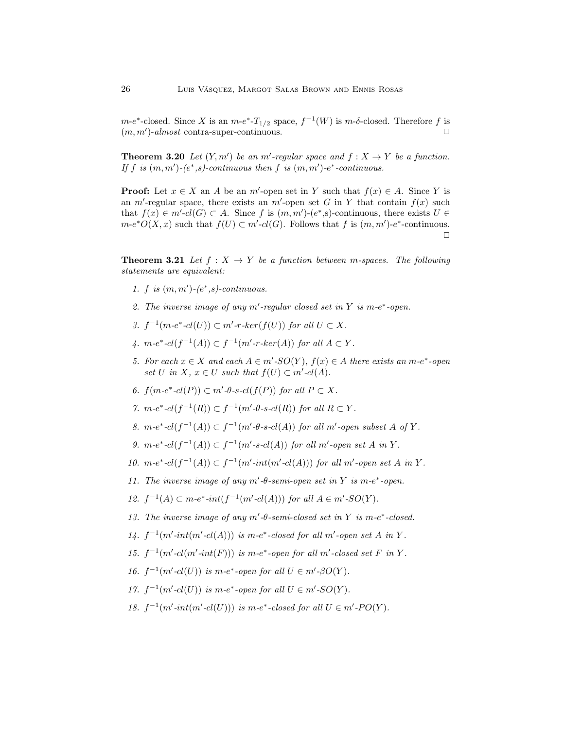$m-e^*$ -closed. Since X is an  $m-e^*$ - $T_{1/2}$  space,  $f^{-1}(W)$  is  $m-\delta$ -closed. Therefore f is  $(m, m')$ -almost contra-super-continuous.

**Theorem 3.20** Let  $(Y, m')$  be an m'-regular space and  $f : X \to Y$  be a function. If f is  $(m, m')$ - $(e^*, s)$ -continuous then f is  $(m, m')$ - $e^*$ -continuous.

**Proof:** Let  $x \in X$  an A be an m'-open set in Y such that  $f(x) \in A$ . Since Y is an m'-regular space, there exists an m'-open set G in Y that contain  $f(x)$  such that  $f(x) \in m'-cl(G) \subset A$ . Since f is  $(m, m')-(e^*, s)$ -continuous, there exists  $U \in$  $m-e^*O(X,x)$  such that  $f(U) \subset m'-cl(G)$ . Follows that f is  $(m,m')-e^*$ -continuous.  $\Box$ 

<span id="page-11-0"></span>**Theorem 3.21** Let  $f : X \to Y$  be a function between m-spaces. The following statements are equivalent:

- 1. f is  $(m, m')$ - $(e^*, s)$ -continuous.
- 2. The inverse image of any  $m'$ -regular closed set in Y is  $m-e^*$ -open.
- 3.  $f^{-1}(m\text{-}e^*\text{-}cl(U)) \subset m'\text{-}r\text{-}ker(f(U))$  for all  $U \subset X$ .
- 4.  $m-e^*$ - $cl(f^{-1}(A)) \subset f^{-1}(m'-r-ker(A))$  for all  $A \subset Y$ .
- 5. For each  $x \in X$  and each  $A \in m'$ -SO $(Y)$ ,  $f(x) \in A$  there exists an  $m$ -e<sup>\*</sup>-open set U in X,  $x \in U$  such that  $f(U) \subset m'$ -cl(A).
- 6.  $f(m-e^*-cl(P)) \subset m'-\theta$ -s- $cl(f(P))$  for all  $P \subset X$ .
- 7.  $m-e^*$ - $cl(f^{-1}(R)) \subset f^{-1}(m'-\theta-s-cl(R))$  for all  $R \subset Y$ .
- 8.  $m-e^*$ - $cl(f^{-1}(A)) \subset f^{-1}(m'-\theta-s-cl(A))$  for all m'-open subset A of Y.
- 9.  $m-e^*$ - $cl(f^{-1}(A)) \subset f^{-1}(m'-s-cl(A))$  for all m'-open set A in Y.
- 10.  $m-e^* \text{-} cl(f^{-1}(A)) \subset f^{-1}(m'\text{-}int(m'\text{-}cl(A)))$  for all m'-open set A in Y.
- 11. The inverse image of any  $m'$ - $\theta$ -semi-open set in Y is m- $e^*$ -open.
- 12.  $f^{-1}(A) \subset m-e^* \text{-} int(f^{-1}(m' \text{-} cl(A)))$  for all  $A \in m' \text{-}SO(Y)$ .
- 13. The inverse image of any  $m'$ - $\theta$ -semi-closed set in Y is m- $e^*$ -closed.
- 14.  $f^{-1}(m'-int(m'-cl(A)))$  is  $m-e^*$ -closed for all m'-open set A in Y.
- 15.  $f^{-1}(m'-cl(m'-int(F)))$  is  $m-e^*$ -open for all m'-closed set F in Y.
- 16.  $f^{-1}(m'-cl(U))$  is  $m-e^*$ -open for all  $U \in m'-\beta O(Y)$ .
- 17.  $f^{-1}(m'-cl(U))$  is  $m-e^*$ -open for all  $U \in m'-SO(Y)$ .
- 18.  $f^{-1}(m'\text{-}int(m'\text{-}cl(U)))$  is  $m\text{-}e^*$ -closed for all  $U \in m'\text{-}PO(Y)$ .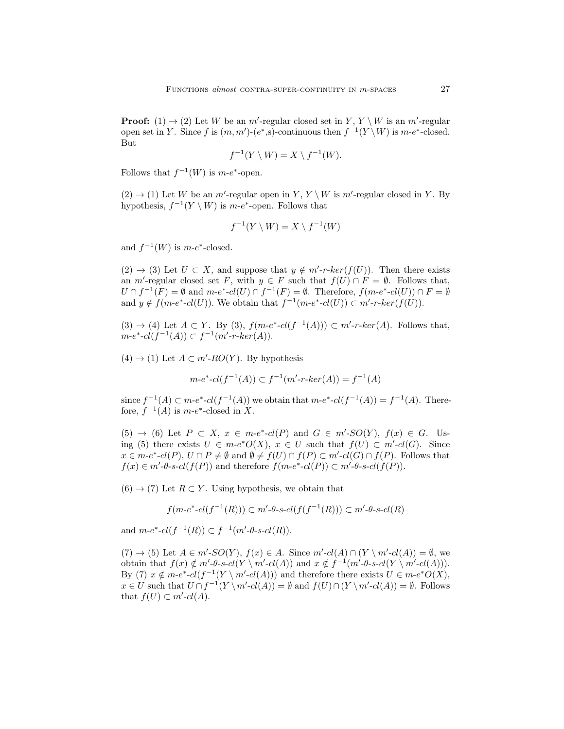**Proof:** (1)  $\rightarrow$  (2) Let W be an m'-regular closed set in Y, Y \ W is an m'-regular open set in Y. Since f is  $(m, m')$ - $(e^*, s)$ -continuous then  $f^{-1}(Y \setminus W)$  is  $m-e^*$ -closed. But

$$
f^{-1}(Y \setminus W) = X \setminus f^{-1}(W).
$$

Follows that  $f^{-1}(W)$  is  $m-e^*$ -open.

 $(2) \rightarrow (1)$  Let W be an m'-regular open in Y, Y \ W is m'-regular closed in Y. By hypothesis,  $f^{-1}(Y \setminus W)$  is m-e<sup>\*</sup>-open. Follows that

$$
f^{-1}(Y \setminus W) = X \setminus f^{-1}(W)
$$

and  $f^{-1}(W)$  is  $m-e^*$ -closed.

 $(2) \rightarrow (3)$  Let  $U \subset X$ , and suppose that  $y \notin m'-r-ker(f(U))$ . Then there exists an m'-regular closed set F, with  $y \in F$  such that  $f(U) \cap F = \emptyset$ . Follows that,  $U \cap f^{-1}(F) = \emptyset$  and  $m-e^* \text{-} cl(U) \cap f^{-1}(F) = \emptyset$ . Therefore,  $f(m-e^* \text{-} cl(U)) \cap F = \emptyset$ and  $y \notin f(m-e^*-cl(U))$ . We obtain that  $f^{-1}(m-e^*-cl(U)) \subset m'-r-ker(f(U))$ .

 $(3) \rightarrow (4)$  Let  $A \subset Y$ . By  $(3)$ ,  $f(m-e^* - cl(f^{-1}(A))) \subset m'-r-ker(A)$ . Follows that,  $m-e^* - cl(f^{-1}(A)) \subset f^{-1}(m'-r-ker(A)).$ 

 $(4) \rightarrow (1)$  Let  $A \subset m'$ -RO(Y). By hypothesis

$$
m \text{-} e^* \text{-} cl(f^{-1}(A)) \subset f^{-1}(m' \text{-} r \text{-} ker(A)) = f^{-1}(A)
$$

since  $f^{-1}(A) \subset m-e^* \text{-} cl(f^{-1}(A))$  we obtain that  $m-e^* \text{-} cl(f^{-1}(A)) = f^{-1}(A)$ . Therefore,  $f^{-1}(A)$  is  $m-e^*$ -closed in X.

 $(5) \rightarrow (6)$  Let  $P \subset X$ ,  $x \in m-e^*$ - $cl(P)$  and  $G \in m'-SO(Y)$ ,  $f(x) \in G$ . Using (5) there exists  $U \in m-e^*O(X)$ ,  $x \in U$  such that  $f(U) \subset m'-cl(G)$ . Since  $x \in m-e^*$ - $cl(P)$ ,  $U \cap P \neq \emptyset$  and  $\emptyset \neq f(U) \cap f(P) \subset m'$ - $cl(G) \cap f(P)$ . Follows that  $f(x) \in m'$ -θ-s-cl( $f(P)$ ) and therefore  $f(m-e^*$ -cl( $P)$ )  $\subset m'$ -θ-s-cl( $f(P)$ ).

 $(6) \rightarrow (7)$  Let  $R \subset Y$ . Using hypothesis, we obtain that

$$
f(m-e^*-cl(f^{-1}(R))) \subset m'-\theta \cdot \text{gcd}(f(f^{-1}(R))) \subset m'-\theta \cdot \text{gcd}(R)
$$

and  $m-e^*$ - $cl(f^{-1}(R)) \subset f^{-1}(m'-\theta$ -s- $cl(R)$ ).

 $(7) \rightarrow (5)$  Let  $A \in m'$ -SO $(Y)$ ,  $f(x) \in A$ . Since  $m'$ -cl $(A) \cap (Y \setminus m'$ -cl $(A)) = \emptyset$ , we obtain that  $f(x) \notin m'$ - $\theta$ -s-cl(Y \m'-cl(A)) and  $x \notin f^{-1}(m'-\theta$ -s-cl(Y \m'-cl(A))). By (7)  $x \notin m-e^* - cl(f^{-1}(Y \setminus m'-cl(A)))$  and therefore there exists  $U \in m-e^*O(X)$ ,  $x \in U$  such that  $U \cap f^{-1}(Y \setminus m'-cl(A)) = \emptyset$  and  $f(U) \cap (Y \setminus m'-cl(A)) = \emptyset$ . Follows that  $f(U) \subset m'$ -cl(A).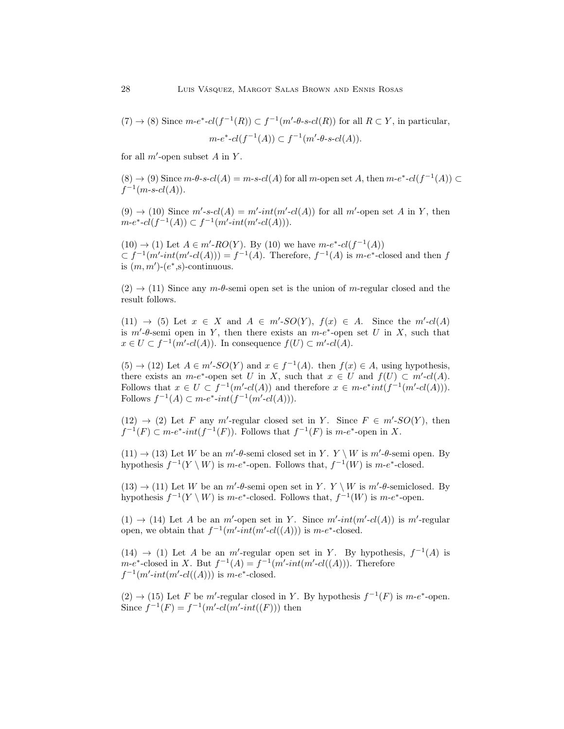$(7) \rightarrow (8)$  Since  $m-e^*$ - $cl(f^{-1}(R)) \subset f^{-1}(m'-\theta-s-cl(R))$  for all  $R \subset Y$ , in particular,  $m-e^* - cl(f^{-1}(A)) \subset f^{-1}(m'-\theta-s-cl(A)).$ 

for all  $m'$ -open subset  $A$  in  $Y$ .

 $(8) \rightarrow (9)$  Since  $m$ - $\theta$ - $s$ - $cl(A) = m$ - $s$ - $cl(A)$  for all  $m$ -open set  $A$ , then  $m$ - $e^*$ - $cl(f^{-1}(A)) \subset$  $f^{-1}(m-s-cl(A)).$ 

 $(9) \rightarrow (10)$  Since  $m'$ -s-cl(A) =  $m'$ -int(m'-cl(A)) for all m'-open set A in Y, then  $m-e^* - cl(f^{-1}(A)) \subset f^{-1}(m'-int(m'-cl(A))).$ 

 $(10) \rightarrow (1)$  Let  $A \in m'$ -RO(Y). By (10) we have  $m-e^*$ - $cl(f^{-1}(A))$  $\subset f^{-1}(m'\text{-}int(m'\text{-}cl(A))) = f^{-1}(A)$ . Therefore,  $f^{-1}(A)$  is  $m-e^*$ -closed and then f is  $(m, m')$ - $(e^*, s)$ -continuous.

 $(2) \rightarrow (11)$  Since any  $m$ - $\theta$ -semi open set is the union of m-regular closed and the result follows.

(11)  $\rightarrow$  (5) Let  $x \in X$  and  $A \in m'$ -SO(Y),  $f(x) \in A$ . Since the  $m'$ -cl(A) is  $m'$ - $\theta$ -semi open in Y, then there exists an  $m-e^*$ -open set U in X, such that  $x \in U \subset f^{-1}(m' \text{-} cl(A))$ . In consequence  $f(U) \subset m' \text{-} cl(A)$ .

 $(5) \rightarrow (12)$  Let  $A \in m'$ -SO(Y) and  $x \in f^{-1}(A)$ . then  $f(x) \in A$ , using hypothesis, there exists an  $m-e^*$ -open set U in X, such that  $x \in U$  and  $f(U) \subset m'-cl(A)$ . Follows that  $x \in U \subset f^{-1}(m'-cl(A))$  and therefore  $x \in m-e^*int(f^{-1}(m'-cl(A)))$ . Follows  $f^{-1}(A)$  ⊂ m-e<sup>\*</sup>-int(f<sup>-1</sup>(m'-cl(A))).

 $(12) \rightarrow (2)$  Let F any m'-regular closed set in Y. Since  $F \in m'$ -SO(Y), then  $f^{-1}(F) \subset m-e^*$ -int $(f^{-1}(F))$ . Follows that  $f^{-1}(F)$  is  $m-e^*$ -open in X.

 $(11) \rightarrow (13)$  Let W be an  $m'$ - $\theta$ -semi closed set in Y. Y \ W is  $m'$ - $\theta$ -semi open. By hypothesis  $f^{-1}(Y \setminus W)$  is m-e<sup>\*</sup>-open. Follows that,  $f^{-1}(W)$  is m-e<sup>\*</sup>-closed.

 $(13) \rightarrow (11)$  Let W be an m'- $\theta$ -semi open set in Y. Y \ W is m'- $\theta$ -semiclosed. By hypothesis  $f^{-1}(Y \setminus W)$  is m-e<sup>\*</sup>-closed. Follows that,  $f^{-1}(W)$  is m-e<sup>\*</sup>-open.

 $(1) \rightarrow (14)$  Let A be an m'-open set in Y. Since m'-int(m'-cl(A)) is m'-regular open, we obtain that  $f^{-1}(m'\text{-}int(m'\text{-}cl((A)))$  is  $m\text{-}e^*$ -closed.

(14)  $\rightarrow$  (1) Let A be an m'-regular open set in Y. By hypothesis,  $f^{-1}(A)$  is  $m-e^*$ -closed in X. But  $f^{-1}(A) = f^{-1}(m'-int(m'-cl((A)))$ . Therefore  $f^{-1}(m'\text{-}int(m'\text{-}cl((A)))$  is  $m\text{-}e^*$ -closed.

 $(2) \rightarrow (15)$  Let F be m'-regular closed in Y. By hypothesis  $f^{-1}(F)$  is m-e<sup>\*</sup>-open. Since  $f^{-1}(F) = f^{-1}(m'\text{-}cl(m'\text{-}int((F)))$  then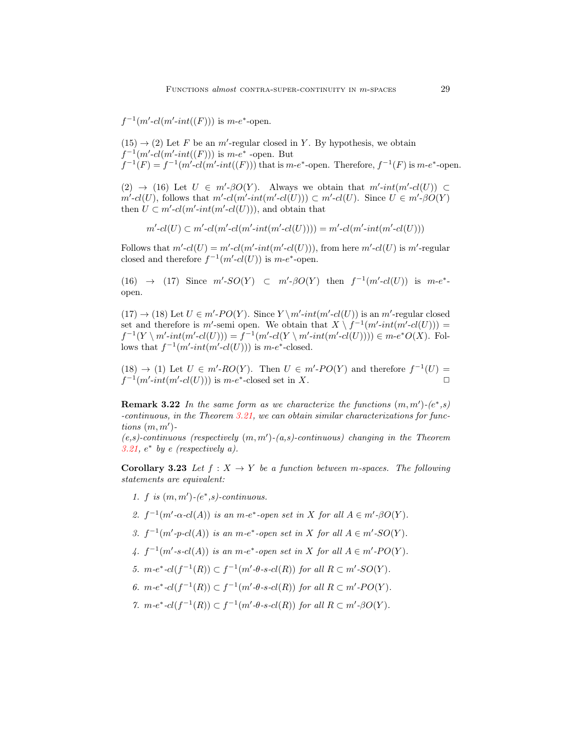$f^{-1}(m'-cl(m'-int((F)))$  is  $m-e^*$ -open.

 $(15) \rightarrow (2)$  Let F be an m'-regular closed in Y. By hypothesis, we obtain  $f^{-1}(m'-c\ell(m'-int(F)))$  is  $m-e^*$  -open. But  $f^{-1}(F) = f^{-1}(m'-cl(m'-int(F)))$  that is  $m-e^*$ -open. Therefore,  $f^{-1}(F)$  is  $m-e^*$ -open.

(2)  $\rightarrow$  (16) Let  $U \in m'$ - $\beta O(Y)$ . Always we obtain that  $m'$ - $int(m'-cl(U)) \subset$  $m' \text{-} cl(U)$ , follows that  $m' \text{-} cl(m' \text{-} int(m' \text{-} cl(U))) \subset m' \text{-} cl(U)$ . Since  $U \in m' \text{-} \beta O(Y)$ then  $U \subset m'$ - $cl(m'$ - $int(m'$ - $cl(U))$ ), and obtain that

$$
m'-cl(U) \subset m'-cl(m'-cl(m'-int(m'-cl(U)))) = m'-cl(m'-int(m'-cl(U)))
$$

Follows that  $m'-cl(U) = m'-cl(m'-int(m'-cl(U)))$ , from here  $m'-cl(U)$  is  $m'-regular$ closed and therefore  $f^{-1}(m'-cl(U))$  is  $m-e^*$ -open.

(16)  $\rightarrow$  (17) Since  $m'$ -SO(Y)  $\subset m'$ - $\beta$ O(Y) then  $f^{-1}(m'-cl(U))$  is  $m-e^*$ open.

 $(17) \rightarrow (18)$  Let  $U \in m'-PO(Y)$ . Since  $Y \setminus m'-int(m'-cl(U))$  is an m'-regular closed set and therefore is m'-semi open. We obtain that  $X \setminus f^{-1}(m'\text{-}int(m'\text{-}cl(U)))$  $f^{-1}(Y \setminus m'\text{-}int(m'\text{-}cl(U))) = f^{-1}(m'\text{-}cl(Y \setminus m'\text{-}int(m'\text{-}cl(U)))) \in m\text{-}e^*O(X)$ . Follows that  $f^{-1}(m'\text{-}int(m'\text{-}cl(U)))$  is  $m\text{-}e^*$ -closed.

 $(18) \rightarrow (1)$  Let  $U \in m'$ -RO(Y). Then  $U \in m'$ -PO(Y) and therefore  $f^{-1}(U)$  =  $f^{-1}(m'\text{-}int(m'\text{-}cl(U)))$  is  $m\text{-}e^*$ -closed set in X.

**Remark 3.22** In the same form as we characterize the functions  $(m, m')$ - $(e^*, s)$ -continuous, in the Theorem [3.21,](#page-11-0) we can obtain similar characterizations for functions  $(m, m')$ -

 $(e, s)$ -continuous (respectively  $(m, m')$ - $(a, s)$ -continuous) changing in the Theorem [3.21,](#page-11-0)  $e^*$  by e (respectively a).

<span id="page-14-0"></span>**Corollary 3.23** Let  $f : X \to Y$  be a function between m-spaces. The following statements are equivalent:

- 1. f is  $(m, m')$ - $(e^*, s)$ -continuous.
- 2.  $f^{-1}(m' \text{-} \alpha \text{-} cl(A))$  is an m-e<sup>\*</sup>-open set in X for all  $A \in m' \text{-} \beta O(Y)$ .
- 3.  $f^{-1}(m'-p-cl(A))$  is an m-e<sup>\*</sup>-open set in X for all  $A \in m'-SO(Y)$ .
- 4.  $f^{-1}(m'-s-cl(A))$  is an  $m-e^*$ -open set in X for all  $A \in m'-PO(Y)$ .
- 5.  $m-e^* \text{-} cl(f^{-1}(R)) \subset f^{-1}(m'-\theta \text{-} s \text{-} cl(R))$  for all  $R \subset m'-SO(Y)$ .
- 6.  $m-e^*$ - $cl(f^{-1}(R)) \subset f^{-1}(m'-\theta-s-cl(R))$  for all  $R \subset m'-PO(Y)$ .
- 7.  $m-e^*$ - $cl(f^{-1}(R)) \subset f^{-1}(m'-\theta-s-cl(R))$  for all  $R \subset m'-\beta O(Y)$ .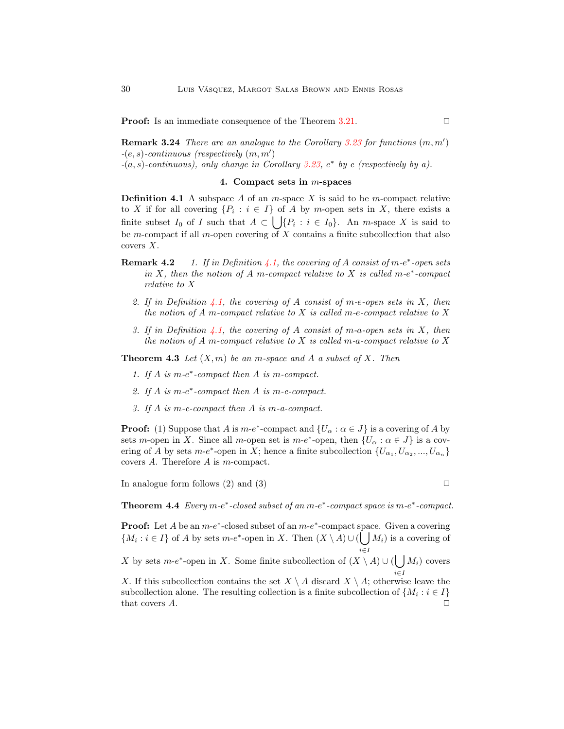**Proof:** Is an immediate consequence of the Theorem [3.21.](#page-11-0) ◯

**Remark 3.24** There are an analogue to the Corollary [3.23](#page-14-0) for functions  $(m, m')$  $-(e, s)$ -continuous (respectively  $(m, m')$  $-(a, s)$ -continuous), only change in Corollary [3.23,](#page-14-0)  $e^*$  by e (respectively by a).

# 4. Compact sets in m-spaces

<span id="page-15-1"></span><span id="page-15-0"></span>**Definition 4.1** A subspace A of an m-space X is said to be m-compact relative to X if for all covering  $\{P_i : i \in I\}$  of A by m-open sets in X, there exists a finite subset  $I_0$  of I such that  $A \subset \bigcup \{P_i : i \in I_0\}$ . An *m*-space X is said to be m-compact if all m-open covering of  $X$  contains a finite subcollection that also covers X.

- **Remark 4.2** 1. If in Definition [4.1,](#page-15-1) the covering of A consist of m-e<sup>\*</sup>-open sets in X, then the notion of A m-compact relative to X is called  $m-e^*$ -compact relative to X
	- 2. If in Definition [4.1,](#page-15-1) the covering of A consist of m-e-open sets in X, then the notion of  $A$  m-compact relative to  $X$  is called m-e-compact relative to  $X$
	- 3. If in Definition [4.1,](#page-15-1) the covering of A consist of m-a-open sets in X, then the notion of A m-compact relative to X is called m-a-compact relative to X

**Theorem 4.3** Let  $(X, m)$  be an m-space and A a subset of X. Then

- 1. If  $A$  is  $m$ - $e^*$ -compact then  $A$  is  $m$ -compact.
- 2. If  $A$  is  $m-e^*$ -compact then  $A$  is  $m-e$ -compact.
- 3. If A is m-e-compact then A is m-a-compact.

**Proof:** (1) Suppose that A is  $m-e^*$ -compact and  $\{U_\alpha : \alpha \in J\}$  is a covering of A by sets m-open in X. Since all m-open set is m-e<sup>\*</sup>-open, then  $\{U_{\alpha} : \alpha \in J\}$  is a covering of A by sets  $m-e^*$ -open in X; hence a finite subcollection  $\{U_{\alpha_1}, U_{\alpha_2}, ..., U_{\alpha_n}\}$ covers A. Therefore A is m-compact.

<span id="page-15-2"></span>In analogue form follows (2) and (3)  $\Box$ 

Theorem 4.4 Every  $m-e^*$ -closed subset of an  $m-e^*$ -compact space is  $m-e^*$ -compact.

**Proof:** Let A be an  $m-e^*$ -closed subset of an  $m-e^*$ -compact space. Given a covering  $\{M_i : i \in I\}$  of A by sets m-e<sup>\*</sup>-open in X. Then  $(X \setminus A) \cup (\bigcup M_i)$  is a covering of i∈I

X by sets  $m-e^*$ -open in X. Some finite subcollection of  $(X \setminus A) \cup (\bigcup M_i)$  covers i∈I

X. If this subcollection contains the set  $X \setminus A$  discard  $X \setminus A$ ; otherwise leave the subcollection alone. The resulting collection is a finite subcollection of  $\{M_i : i \in I\}$ that covers  $A$ .  $\Box$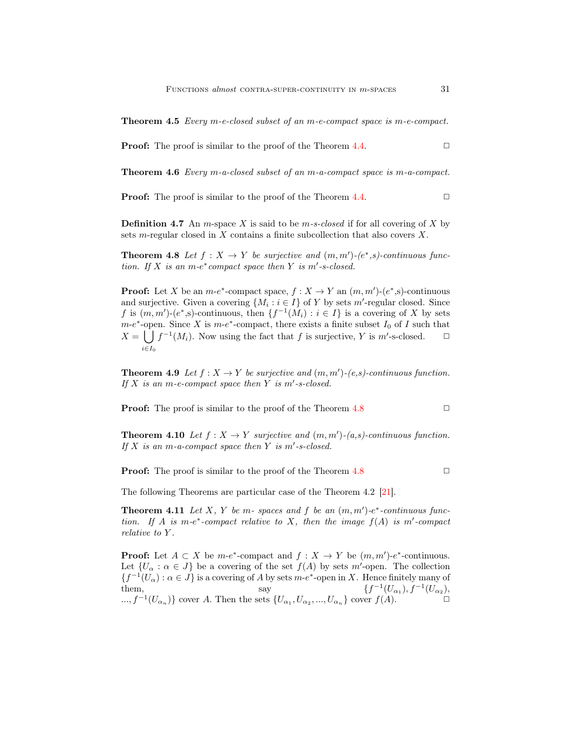Theorem 4.5 Every m-e-closed subset of an m-e-compact space is m-e-compact.

**Proof:** The proof is similar to the proof of the Theorem [4.4.](#page-15-2)  $\Box$ 

Theorem 4.6 Every m-a-closed subset of an m-a-compact space is m-a-compact.

**Proof:** The proof is similar to the proof of the Theorem [4.4.](#page-15-2)  $\Box$ 

**Definition 4.7** An *m*-space X is said to be *m-s-closed* if for all covering of X by sets m-regular closed in X contains a finite subcollection that also covers X.

<span id="page-16-0"></span>**Theorem 4.8** Let  $f: X \to Y$  be surjective and  $(m, m')$ - $(e^*, s)$ -continuous function. If X is an  $m-e^*$  compact space then Y is  $m'$ -s-closed.

**Proof:** Let X be an  $m-e^*$ -compact space,  $f: X \to Y$  an  $(m, m')$ - $(e^*, s)$ -continuous and surjective. Given a covering  $\{M_i : i \in I\}$  of Y by sets m'-regular closed. Since f is  $(m, m')$ - $(e^*, s)$ -continuous, then  $\{f^{-1}(M_i) : i \in I\}$  is a covering of X by sets  $m-e^*$ -open. Since X is  $m-e^*$ -compact, there exists a finite subset  $I_0$  of I such that  $X = \bigcup f^{-1}(M_i)$ . Now using the fact that f is surjective, Y is m'-s-closed.  $\Box$  $i\epsilon I_0$ 

**Theorem 4.9** Let  $f: X \to Y$  be surjective and  $(m, m')$ - $(e, s)$ -continuous function. If  $X$  is an m-e-compact space then  $Y$  is m'-s-closed.

**Proof:** The proof is similar to the proof of the Theorem  $4.8$ 

**Theorem 4.10** Let  $f: X \to Y$  surjective and  $(m, m')$ - $(a, s)$ -continuous function. If  $X$  is an m-a-compact space then  $Y$  is m'-s-closed.

**Proof:** The proof is similar to the proof of the Theorem  $4.8$ 

<span id="page-16-1"></span>

The following Theorems are particular case of the Theorem 4.2 [\[21\]](#page-21-3).

**Theorem 4.11** Let X, Y be m- spaces and f be an  $(m, m')$ -e<sup>\*</sup>-continuous function. If A is m-e\*-compact relative to X, then the image  $f(A)$  is m'-compact relative to Y.

**Proof:** Let  $A \subset X$  be  $m-e^*$ -compact and  $f : X \to Y$  be  $(m, m')-e^*$ -continuous. Let  $\{U_{\alpha} : \alpha \in J\}$  be a covering of the set  $f(A)$  by sets m'-open. The collection  ${f^{-1}(U_\alpha) : \alpha \in J}$  is a covering of A by sets  $m-e^*$ -open in X. Hence finitely many of them, say  ${sf}$  $f^{-1}(U_{\alpha_1}), f^{-1}(U_{\alpha_2}),$ ...,  $f^{-1}(U_{\alpha_n})$ } cover A. Then the sets  $\{U_{\alpha_1}, U_{\alpha_2}, ..., U_{\alpha_n}\}\$ cover  $f(A)$ . □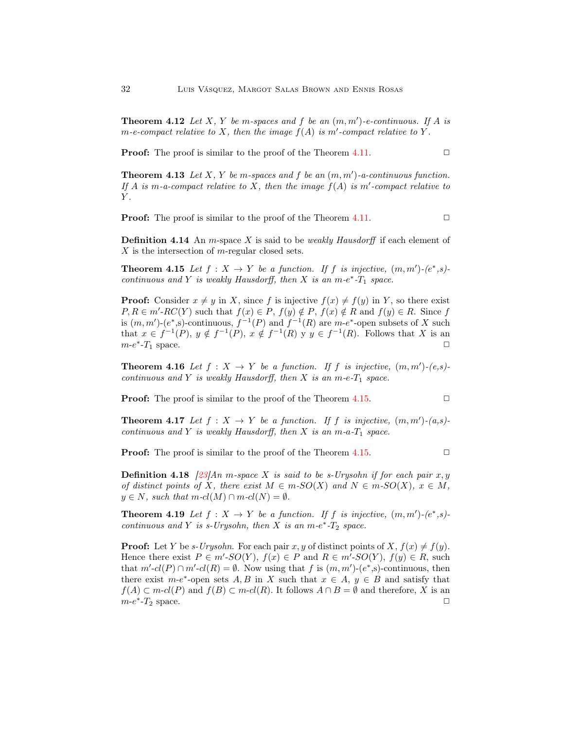**Theorem 4.12** Let X, Y be m-spaces and f be an  $(m, m')$ -e-continuous. If A is  $m$ -e-compact relative to X, then the image  $f(A)$  is  $m'$ -compact relative to Y.

**Proof:** The proof is similar to the proof of the Theorem [4.11.](#page-16-1)  $\Box$ 

**Theorem 4.13** Let X, Y be m-spaces and f be an  $(m, m')$ -a-continuous function. If A is m-a-compact relative to X, then the image  $f(A)$  is m'-compact relative to  $Y$ .

**Proof:** The proof is similar to the proof of the Theorem [4.11.](#page-16-1)  $\Box$ 

**Definition 4.14** An m-space X is said to be *weakly Hausdorff* if each element of X is the intersection of m-regular closed sets.

<span id="page-17-0"></span>**Theorem 4.15** Let  $f: X \to Y$  be a function. If f is injective,  $(m, m')$ - $(e^*, s)$ continuous and Y is weakly Hausdorff, then X is an m- $e^*$ - $T_1$  space.

**Proof:** Consider  $x \neq y$  in X, since f is injective  $f(x) \neq f(y)$  in Y, so there exist  $P, R \in m'$ - $RC(Y)$  such that  $f(x) \in P$ ,  $f(y) \notin P$ ,  $f(x) \notin R$  and  $f(y) \in R$ . Since f is  $(m, m')$ - $(e^*, s)$ -continuous,  $f^{-1}(P)$  and  $f^{-1}(R)$  are  $m-e^*$ -open subsets of X such that  $x \in f^{-1}(P)$ ,  $y \notin f^{-1}(P)$ ,  $x \notin f^{-1}(R)$  y  $y \in f^{-1}(R)$ . Follows that X is an  $m-e^*$ - $T_1$  space.

**Theorem 4.16** Let  $f: X \to Y$  be a function. If f is injective,  $(m, m')-(e, s)$ continuous and Y is weakly Hausdorff, then X is an m-e- $T_1$  space.

**Proof:** The proof is similar to the proof of the Theorem [4.15.](#page-17-0)  $\Box$ 

**Theorem 4.17** Let  $f: X \to Y$  be a function. If f is injective,  $(m, m')-(a, s)$ continuous and Y is weakly Hausdorff, then X is an  $m-a-T_1$  space.

**Proof:** The proof is similar to the proof of the Theorem [4.15.](#page-17-0)  $\Box$ 

**Definition 4.18** [\[23\]](#page-21-9)An m-space X is said to be s-Urysohn if for each pair  $x, y$ of distinct points of X, there exist  $M \in m$ -SO(X) and  $N \in m$ -SO(X),  $x \in M$ ,  $y \in N$ , such that  $m-cl(M) \cap m-cl(N) = \emptyset$ .

<span id="page-17-1"></span>**Theorem 4.19** Let  $f: X \to Y$  be a function. If f is injective,  $(m, m')$ - $(e^*, s)$ continuous and Y is s-Urysohn, then X is an  $m-e^*$ - $T_2$  space.

**Proof:** Let Y be s-Urysohn. For each pair x, y of distinct points of  $X, f(x) \neq f(y)$ . Hence there exist  $P \in m'$ - $SO(Y)$ ,  $f(x) \in P$  and  $R \in m'$ - $SO(Y)$ ,  $f(y) \in R$ , such that  $m'-cl(P) \cap m'-cl(R) = \emptyset$ . Now using that f is  $(m, m')-(e^*, s)$ -continuous, then there exist  $m-e^*$ -open sets  $A, B$  in X such that  $x \in A, y \in B$  and satisfy that  $f(A) \subset m-cl(P)$  and  $f(B) \subset m-cl(R)$ . It follows  $A \cap B = \emptyset$  and therefore, X is an  $m-e^*$ - $T_2$  space.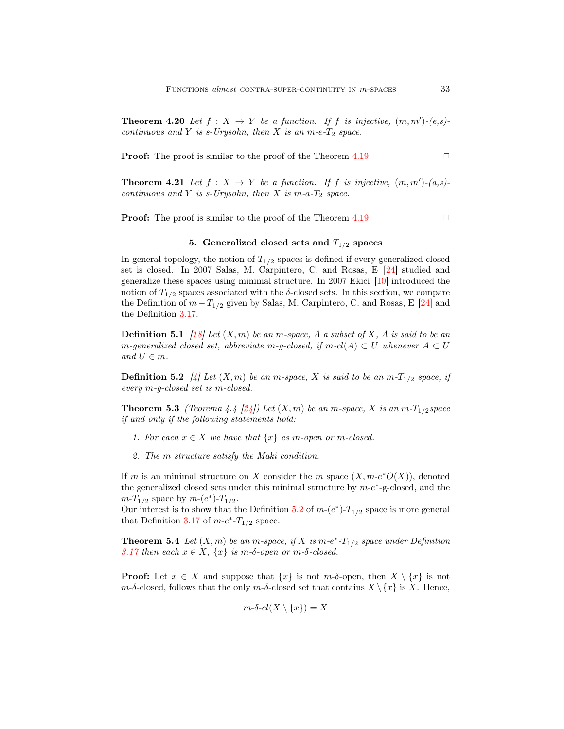**Theorem 4.20** Let  $f: X \to Y$  be a function. If f is injective,  $(m, m')-(e, s)$ continuous and Y is s-Urysohn, then X is an m-e- $T_2$  space.

**Proof:** The proof is similar to the proof of the Theorem [4.19.](#page-17-1)  $\Box$ 

**Theorem 4.21** Let  $f: X \to Y$  be a function. If f is injective,  $(m, m')-(a, s)$ continuous and Y is s-Urysohn, then X is m-a- $T_2$  space.

<span id="page-18-0"></span>**Proof:** The proof is similar to the proof of the Theorem [4.19.](#page-17-1)  $\Box$ 

# 5. Generalized closed sets and  $T_{1/2}$  spaces

In general topology, the notion of  $T_{1/2}$  spaces is defined if every generalized closed set is closed. In 2007 Salas, M. Carpintero, C. and Rosas, E [\[24\]](#page-21-10) studied and generalize these spaces using minimal structure. In 2007 Ekici [\[10\]](#page-20-7) introduced the notion of  $T_{1/2}$  spaces associated with the  $\delta$ -closed sets. In this section, we compare the Definition of  $m-T_{1/2}$  given by Salas, M. Carpintero, C. and Rosas, E [\[24\]](#page-21-10) and the Definition [3.17.](#page-9-0)

**Definition 5.1** [\[18\]](#page-21-11) Let  $(X, m)$  be an m-space, A a subset of X, A is said to be an m-generalized closed set, abbreviate m-g-closed, if  $m$ -cl(A)  $\subset U$  whenever  $A \subset U$ and  $U \in m$ .

<span id="page-18-1"></span>**Definition 5.2** [\[4\]](#page-20-6) Let  $(X, m)$  be an m-space, X is said to be an  $m-T_{1/2}$  space, if every m-g-closed set is m-closed.

<span id="page-18-3"></span>**Theorem 5.3** (Teorema 4.4 [\[24\]](#page-21-10)) Let  $(X, m)$  be an m-space, X is an m- $T_{1/2}$ space if and only if the following statements hold:

- 1. For each  $x \in X$  we have that  $\{x\}$  es m-open or m-closed.
- 2. The m structure satisfy the Maki condition.

If m is an minimal structure on X consider the m space  $(X, m-e^*O(X))$ , denoted the generalized closed sets under this minimal structure by  $m-e^*$ -g-closed, and the  $m-T_{1/2}$  space by  $m-(e^*)-T_{1/2}$ .

<span id="page-18-2"></span>Our interest is to show that the Definition [5.2](#page-18-1) of  $m-(e^*)-T_{1/2}$  space is more general that Definition [3.17](#page-9-0) of  $m-e^*$ - $T_{1/2}$  space.

**Theorem 5.4** Let  $(X, m)$  be an m-space, if X is  $m-e^*$ - $T_{1/2}$  space under Definition [3.17](#page-9-0) then each  $x \in X$ ,  $\{x\}$  is m- $\delta$ -open or m- $\delta$ -closed.

**Proof:** Let  $x \in X$  and suppose that  $\{x\}$  is not  $m-\delta$ -open, then  $X \setminus \{x\}$  is not  $m-\delta$ -closed, follows that the only  $m-\delta$ -closed set that contains  $X \setminus \{x\}$  is X. Hence,

$$
m\text{-}\delta\text{-}cl(X\setminus\{x\})=X
$$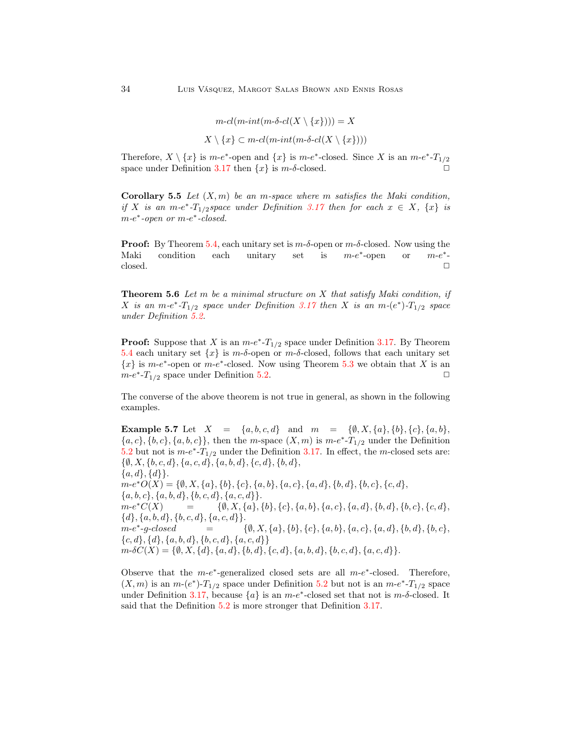$$
m\text{-}cl(m\text{-}int(m\text{-}\delta\text{-}cl(X\setminus\{x\}))) = X
$$

$$
X\setminus\{x\} \subset m\text{-}cl(m\text{-}int(m\text{-}\delta\text{-}cl(X\setminus\{x\})))
$$

Therefore,  $X \setminus \{x\}$  is  $m-e^*$ -open and  $\{x\}$  is  $m-e^*$ -closed. Since X is an  $m-e^*$ - $T_{1/2}$ space under Definition [3.17](#page-9-0) then  $\{x\}$  is  $m$ -δ-closed.

**Corollary 5.5** Let  $(X, m)$  be an m-space where m satisfies the Maki condition, if X is an m-e<sup>\*</sup>-T<sub>1/2</sub>space under Definition [3.17](#page-9-0) then for each  $x \in X$ ,  $\{x\}$  is  $m-e^*$ -open or  $m-e^*$ -closed.

**Proof:** By Theorem [5.4,](#page-18-2) each unitary set is  $m-\delta$ -open or  $m-\delta$ -closed. Now using the Maki condition each unitary set is ∗ -open or m-e ∗ -  $\Box$ closed.  $\Box$ 

**Theorem 5.6** Let m be a minimal structure on  $X$  that satisfy Maki condition, if X is an  $m-e^*$ - $T_{1/2}$  space under Definition [3.17](#page-9-0) then X is an  $m-(e^*)$ - $T_{1/2}$  space under Definition [5.2.](#page-18-1)

**Proof:** Suppose that X is an  $m-e^*$ - $T_{1/2}$  space under Definition [3.17.](#page-9-0) By Theorem [5.4](#page-18-2) each unitary set  $\{x\}$  is  $m$ -δ-open or  $m$ -δ-closed, follows that each unitary set  ${x}$  is m-e<sup>\*</sup>-open or m-e<sup>\*</sup>-closed. Now using Theorem [5.3](#page-18-3) we obtain that X is an  $m-e^*$ - $T_{1/2}$  space under Definition [5.2.](#page-18-1)

The converse of the above theorem is not true in general, as shown in the following examples.

**Example 5.7** Let  $X = \{a, b, c, d\}$  and  $m = \{\emptyset, X, \{a\}, \{b\}, \{c\}, \{a, b\},\$  ${a, c}, {b, c}, {a, b, c}$ , then the *m*-space  $(X, m)$  is *m*- $e^*$ - $T_{1/2}$  under the Definition [5.2](#page-18-1) but not is  $m-e^*$ - $T_{1/2}$  under the Definition [3.17.](#page-9-0) In effect, the m-closed sets are:  $\{\emptyset, X, \{b, c, d\}, \{a, c, d\}, \{a, b, d\}, \{c, d\}, \{b, d\},\$  $\{a,d\},\{d\}\}.$  $m-e^*O(X) = \{ \emptyset, X, \{a\}, \{b\}, \{c\}, \{a, b\}, \{a, c\}, \{a, d\}, \{b, d\}, \{b, c\}, \{c, d\},\$  ${a, b, c}, {a, b, d}, {b, c, d}, {a, c, d}.$  $m-e^*C(X)$  $= \{\emptyset, X, \{a\}, \{b\}, \{c\}, \{a, b\}, \{a, c\}, \{a, d\}, \{b, d\}, \{b, c\}, \{c, d\},$  $\{d\}, \{a, b, d\}, \{b, c, d\}, \{a, c, d\}.$  $m-e^*$  $=\qquad \quad \{ \emptyset, X, \{a\}, \{b\}, \{c\}, \{a, b\}, \{a, c\}, \{a, d\}, \{b, d\}, \{b, c\},$  ${c, d}, {d}, {a, b, d}, {b, c, d}, {a, c, d}$  $m \text{-} \delta C(X) = \{ \emptyset, X, \{d\}, \{a, d\}, \{b, d\}, \{c, d\}, \{a, b, d\}, \{b, c, d\}, \{a, c, d\} \}.$ 

Observe that the  $m-e^*$ -generalized closed sets are all  $m-e^*$ -closed. Therefore,  $(X, m)$  is an  $m-(e^*)-T_{1/2}$  space under Definition [5.2](#page-18-1) but not is an  $m-e^*-T_{1/2}$  space under Definition [3.17,](#page-9-0) because  $\{a\}$  is an  $m-e^*$ -closed set that not is  $m$ -δ-closed. It said that the Definition [5.2](#page-18-1) is more stronger that Definition [3.17.](#page-9-0)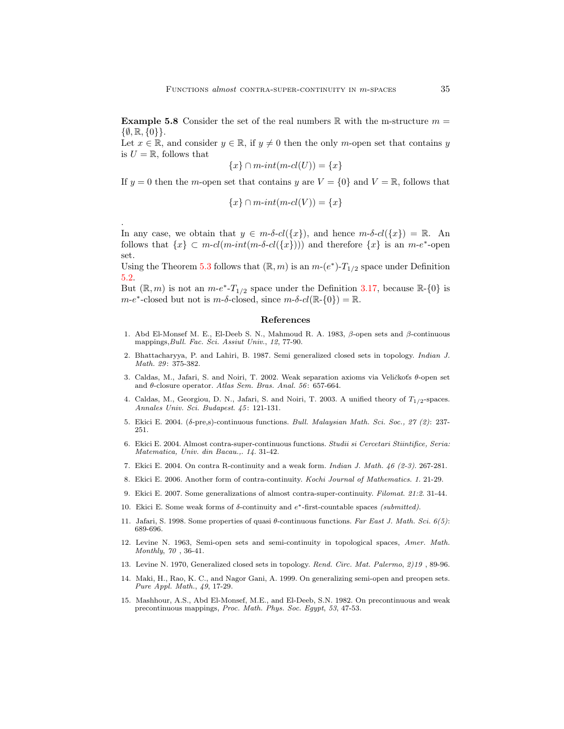**Example 5.8** Consider the set of the real numbers  $\mathbb{R}$  with the m-structure  $m =$  $\{\emptyset, \mathbb{R}, \{0\}\}.$ 

Let  $x \in \mathbb{R}$ , and consider  $y \in \mathbb{R}$ , if  $y \neq 0$  then the only m-open set that contains y is  $U = \mathbb{R}$ , follows that

$$
\{x\} \cap m\text{-}int(m\text{-}cl(U)) = \{x\}
$$

If  $y = 0$  then the m-open set that contains y are  $V = \{0\}$  and  $V = \mathbb{R}$ , follows that

$$
\{x\} \cap m\text{-}int(m\text{-}cl(V)) = \{x\}
$$

In any case, we obtain that  $y \in m\text{-}\delta\text{-}cl({x})$ , and hence  $m\text{-}\delta\text{-}cl({x}) = \mathbb{R}$ . An follows that  $\{x\} \subset m \text{-} cl(m \text{-} int(m \text{-} \delta \text{-} cl(\{x\})))$  and therefore  $\{x\}$  is an  $m \text{-} e^*$ -open set.

.

Using the Theorem [5.3](#page-18-3) follows that  $(\mathbb{R}, m)$  is an  $m-(e^*)-T_{1/2}$  space under Definition [5.2.](#page-18-1)

But  $(\mathbb{R}, m)$  is not an  $m-e^*$ - $T_{1/2}$  space under the Definition [3.17,](#page-9-0) because  $\mathbb{R}$ -{0} is  $m-e^*$ -closed but not is  $m-\delta$ -closed, since  $m-\delta$ - $cl(\mathbb{R}-\{0\})=\mathbb{R}$ .

#### <span id="page-20-0"></span>References

- <span id="page-20-12"></span>1. Abd El-Monsef M. E., El-Deeb S. N., Mahmoud R. A. 1983, β-open sets and β-continuous mappings, Bull. Fac. Sci. Assiut Univ., 12, 77-90.
- <span id="page-20-3"></span>2. Bhattacharyya, P. and Lahiri, B. 1987. Semi generalized closed sets in topology. Indian J. Math. 29: 375-382.
- <span id="page-20-5"></span>3. Caldas, M., Jafari, S. and Noiri, T. 2002. Weak separation axioms via Veličkoťs θ-open set and θ-closure operator. Atlas Sem. Bras. Anal. 56: 657-664.
- <span id="page-20-6"></span>4. Caldas, M., Georgiou, D. N., Jafari, S. and Noiri, T. 2003. A unified theory of  $T_{1/2}$ -spaces. Annales Univ. Sci. Budapest. 45: 121-131.
- <span id="page-20-8"></span><span id="page-20-1"></span>5. Ekici E. 2004. (δ-pre,s)-continuous functions. Bull. Malaysian Math. Sci. Soc., 27 (2): 237- 251.
- 6. Ekici E. 2004. Almost contra-super-continuous functions. Studii si Cercetari Stiintifice, Seria: Matematica, Univ. din Bacau.,. 14. 31-42.
- <span id="page-20-15"></span><span id="page-20-14"></span>7. Ekici E. 2004. On contra R-continuity and a weak form. Indian J. Math. 46 (2-3). 267-281.
- <span id="page-20-13"></span>8. Ekici E. 2006. Another form of contra-continuity. Kochi Journal of Mathematics. 1. 21-29.
- <span id="page-20-7"></span>9. Ekici E. 2007. Some generalizations of almost contra-super-continuity. Filomat. 21:2. 31-44.
- <span id="page-20-4"></span>10. Ekici E. Some weak forms of  $\delta$ -continuity and  $e^*$ -first-countable spaces (submitted).
- 11. Jafari, S. 1998. Some properties of quasi θ-continuous functions. Far East J. Math. Sci. 6(5): 689-696.
- <span id="page-20-10"></span>12. Levine N. 1963, Semi-open sets and semi-continuity in topological spaces, Amer. Math. Monthly, 70 , 36-41.
- <span id="page-20-9"></span><span id="page-20-2"></span>13. Levine N. 1970, Generalized closed sets in topology. Rend. Circ. Mat. Palermo, 2)19 , 89-96.
- 14. Maki, H., Rao, K. C., and Nagor Gani, A. 1999. On generalizing semi-open and preopen sets. Pure Appl. Math., 49, 17-29.
- <span id="page-20-11"></span>15. Mashhour, A.S., Abd El-Monsef, M.E., and El-Deeb, S.N. 1982. On precontinuous and weak precontinuous mappings, Proc. Math. Phys. Soc. Egypt, 53, 47-53.